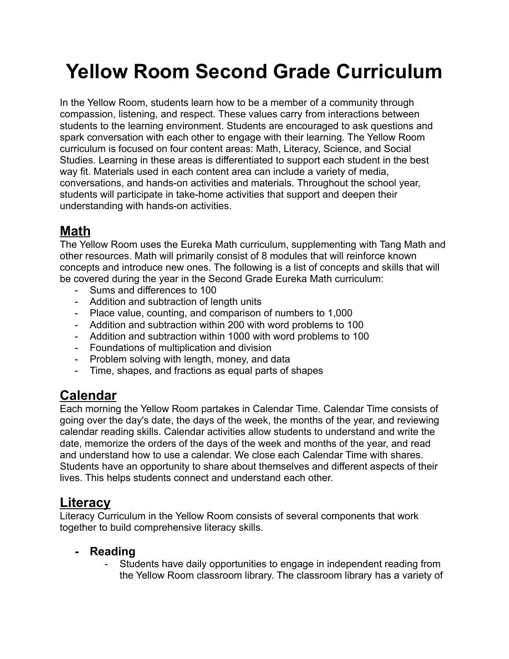# **Yellow Room Second Grade Curriculum**

In the Yellow Room, students learn how to be a member of a community through compassion, listening, and respect. These values carry from interactions between students to the learning environment. Students are encouraged to ask questions and spark conversation with each other to engage with their learning. The Yellow Room curriculum is focused on four content areas: Math, Literacy, Science, and Social Studies. Learning in these areas is differentiated to support each student in the best way fit. Materials used in each content area can include a variety of media, conversations, and hands-on activities and materials. Throughout the school year, students will participate in take-home activities that support and deepen their understanding with hands-on activities.

# **Math**

The Yellow Room uses the Eureka Math curriculum, supplementing with Tang Math and other resources. Math will primarily consist of 8 modules that will reinforce known concepts and introduce new ones. The following is a list of concepts and skills that will be covered during the year in the Second Grade Eureka Math curriculum:

- Sums and differences to 100
- Addition and subtraction of length units
- Place value, counting, and comparison of numbers to 1,000
- Addition and subtraction within 200 with word problems to 100
- Addition and subtraction within 1000 with word problems to 100
- Foundations of multiplication and division
- Problem solving with length, money, and data
- Time, shapes, and fractions as equal parts of shapes

## **Calendar**

Each morning the Yellow Room partakes in Calendar Time. Calendar Time consists of going over the day's date, the days of the week, the months of the year, and reviewing calendar reading skills. Calendar activities allow students to understand and write the date, memorize the orders of the days of the week and months of the year, and read and understand how to use a calendar. We close each Calendar Time with shares. Students have an opportunity to share about themselves and different aspects of their lives. This helps students connect and understand each other.

### **Literacy**

Literacy Curriculum in the Yellow Room consists of several components that work together to build comprehensive literacy skills.

#### **- Reading**

- Students have daily opportunities to engage in independent reading from the Yellow Room classroom library. The classroom library has a variety of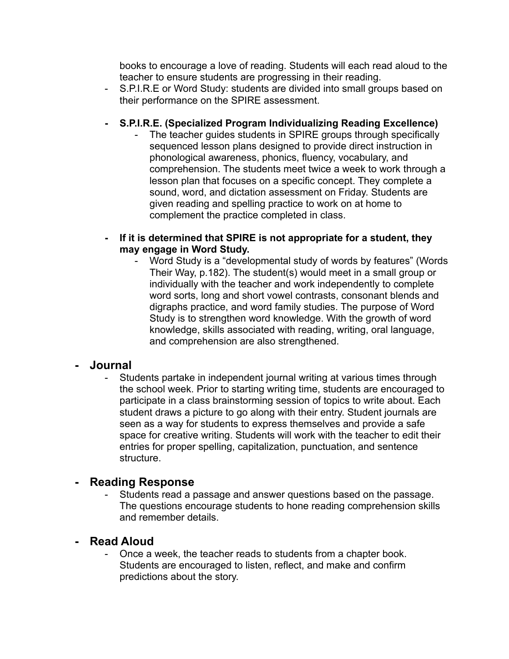books to encourage a love of reading. Students will each read aloud to the teacher to ensure students are progressing in their reading.

- S.P.I.R.E or Word Study: students are divided into small groups based on their performance on the SPIRE assessment.

#### **- S.P.I.R.E. (Specialized Program Individualizing Reading Excellence)**

- The teacher guides students in SPIRE groups through specifically sequenced lesson plans designed to provide direct instruction in phonological awareness, phonics, fluency, vocabulary, and comprehension. The students meet twice a week to work through a lesson plan that focuses on a specific concept. They complete a sound, word, and dictation assessment on Friday. Students are given reading and spelling practice to work on at home to complement the practice completed in class.
- **- If it is determined that SPIRE is not appropriate for a student, they may engage in Word Study.**
	- Word Study is a "developmental study of words by features" (Words Their Way, p.182). The student(s) would meet in a small group or individually with the teacher and work independently to complete word sorts, long and short vowel contrasts, consonant blends and digraphs practice, and word family studies. The purpose of Word Study is to strengthen word knowledge. With the growth of word knowledge, skills associated with reading, writing, oral language, and comprehension are also strengthened.

#### **- Journal**

Students partake in independent journal writing at various times through the school week. Prior to starting writing time, students are encouraged to participate in a class brainstorming session of topics to write about. Each student draws a picture to go along with their entry. Student journals are seen as a way for students to express themselves and provide a safe space for creative writing. Students will work with the teacher to edit their entries for proper spelling, capitalization, punctuation, and sentence structure.

#### **- Reading Response**

Students read a passage and answer questions based on the passage. The questions encourage students to hone reading comprehension skills and remember details.

#### **- Read Aloud**

Once a week, the teacher reads to students from a chapter book. Students are encouraged to listen, reflect, and make and confirm predictions about the story.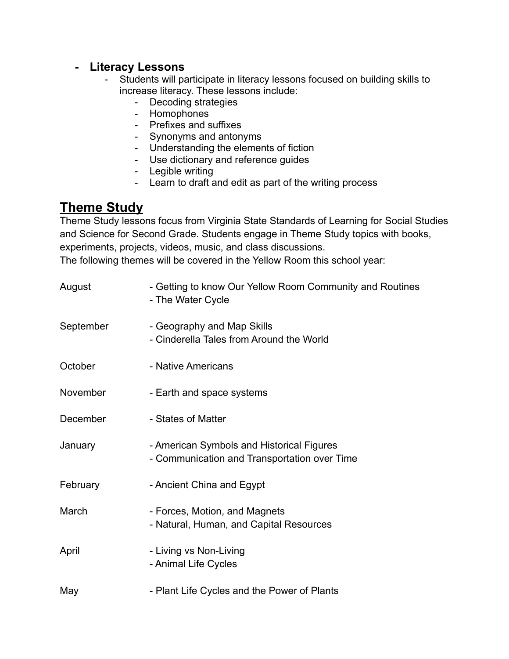#### **- Literacy Lessons**

- Students will participate in literacy lessons focused on building skills to increase literacy. These lessons include:
	- Decoding strategies
	- Homophones
	- Prefixes and suffixes
	- Synonyms and antonyms
	- Understanding the elements of fiction
	- Use dictionary and reference guides
	- Legible writing
	- Learn to draft and edit as part of the writing process

### **Theme Study**

Theme Study lessons focus from Virginia State Standards of Learning for Social Studies and Science for Second Grade. Students engage in Theme Study topics with books, experiments, projects, videos, music, and class discussions. The following themes will be covered in the Yellow Room this school year:

| August    | - Getting to know Our Yellow Room Community and Routines<br>- The Water Cycle             |
|-----------|-------------------------------------------------------------------------------------------|
| September | - Geography and Map Skills<br>- Cinderella Tales from Around the World                    |
| October   | - Native Americans                                                                        |
| November  | - Earth and space systems                                                                 |
| December  | - States of Matter                                                                        |
| January   | - American Symbols and Historical Figures<br>- Communication and Transportation over Time |
| February  | - Ancient China and Egypt                                                                 |
| March     | - Forces, Motion, and Magnets<br>- Natural, Human, and Capital Resources                  |
| April     | - Living vs Non-Living<br>- Animal Life Cycles                                            |
| May       | - Plant Life Cycles and the Power of Plants                                               |